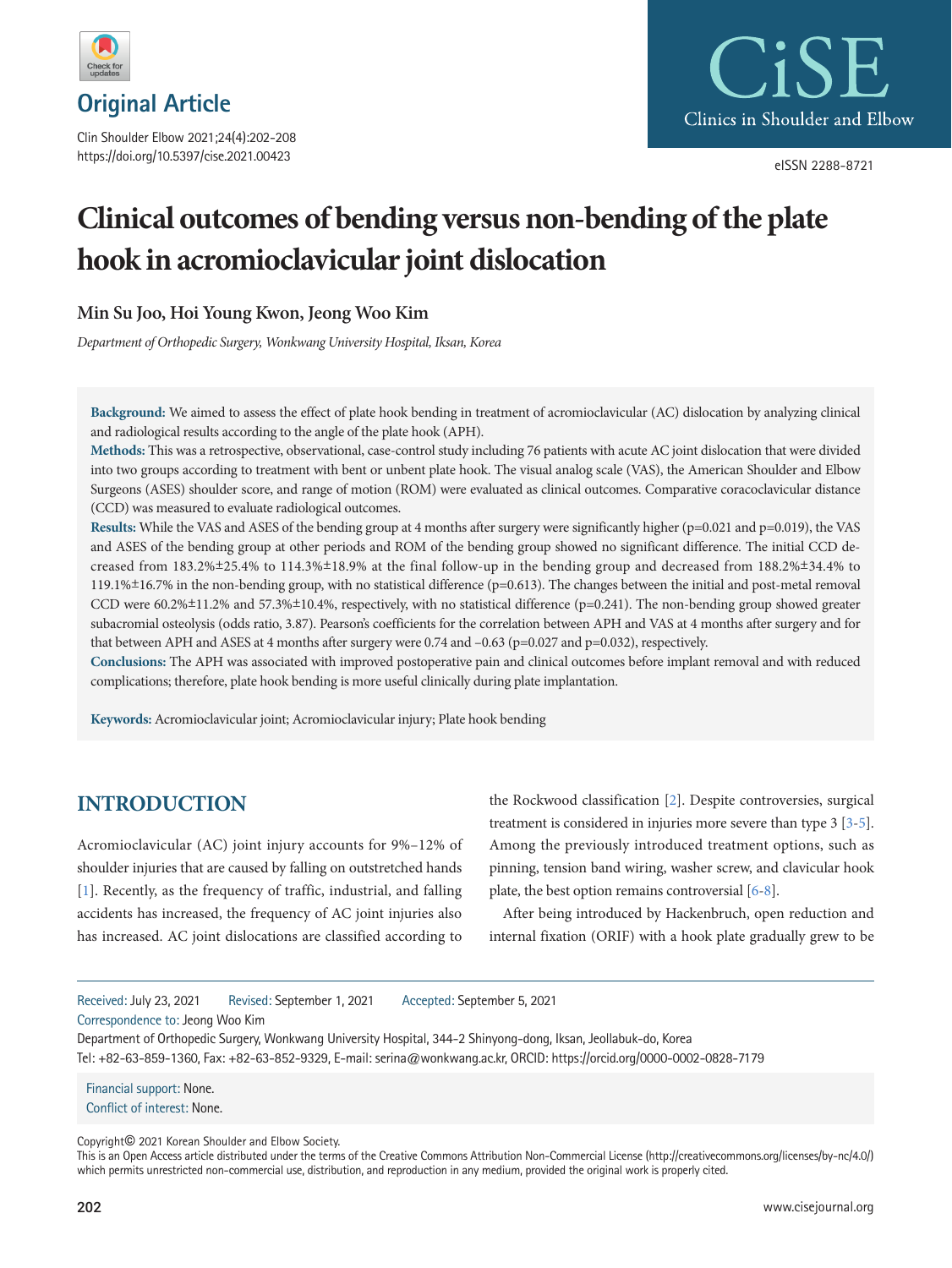

Clin Shoulder Elbow 2021;24(4):202-208 https://doi.org/10.5397/cise.2021.00423



eISSN 2288-8721

# **Clinical outcomes of bending versus non-bending of the plate hook in acromioclavicular joint dislocation**

**Min Su Joo, Hoi Young Kwon, Jeong Woo Kim** 

*Department of Orthopedic Surgery, Wonkwang University Hospital, Iksan, Korea* 

**Background:** We aimed to assess the effect of plate hook bending in treatment of acromioclavicular (AC) dislocation by analyzing clinical and radiological results according to the angle of the plate hook (APH).

**Methods:** This was a retrospective, observational, case-control study including 76 patients with acute AC joint dislocation that were divided into two groups according to treatment with bent or unbent plate hook. The visual analog scale (VAS), the American Shoulder and Elbow Surgeons (ASES) shoulder score, and range of motion (ROM) were evaluated as clinical outcomes. Comparative coracoclavicular distance (CCD) was measured to evaluate radiological outcomes.

**Results:** While the VAS and ASES of the bending group at 4 months after surgery were significantly higher (p=0.021 and p=0.019), the VAS and ASES of the bending group at other periods and ROM of the bending group showed no significant difference. The initial CCD decreased from 183.2%±25.4% to 114.3%±18.9% at the final follow-up in the bending group and decreased from 188.2%±34.4% to 119.1%±16.7% in the non-bending group, with no statistical difference (p=0.613). The changes between the initial and post-metal removal CCD were  $60.2\% \pm 11.2\%$  and  $57.3\% \pm 10.4\%$ , respectively, with no statistical difference (p=0.241). The non-bending group showed greater subacromial osteolysis (odds ratio, 3.87). Pearson's coefficients for the correlation between APH and VAS at 4 months after surgery and for that between APH and ASES at 4 months after surgery were 0.74 and -0.63 (p=0.027 and p=0.032), respectively.

**Conclusions:** The APH was associated with improved postoperative pain and clinical outcomes before implant removal and with reduced complications; therefore, plate hook bending is more useful clinically during plate implantation.

**Keywords:** Acromioclavicular joint; Acromioclavicular injury; Plate hook bending

# **INTRODUCTION**

Acromioclavicular (AC) joint injury accounts for 9%–12% of shoulder injuries that are caused by falling on outstretched hands [\[1](#page-5-0)]. Recently, as the frequency of traffic, industrial, and falling accidents has increased, the frequency of AC joint injuries also has increased. AC joint dislocations are classified according to

the Rockwood classification [\[2](#page-5-1)]. Despite controversies, surgical treatment is considered in injuries more severe than type 3 [\[3](#page-5-2)[-5\]](#page-5-3). Among the previously introduced treatment options, such as pinning, tension band wiring, washer screw, and clavicular hook plate, the best option remains controversial [\[6](#page-5-4)[-8\]](#page-5-5).

After being introduced by Hackenbruch, open reduction and internal fixation (ORIF) with a hook plate gradually grew to be

Received: July 23, 2021 Revised: September 1, 2021 Accepted: September 5, 2021

Correspondence to: Jeong Woo Kim

Department of Orthopedic Surgery, Wonkwang University Hospital, 344-2 Shinyong-dong, Iksan, Jeollabuk-do, Korea Tel: +82-63-859-1360, Fax: +82-63-852-9329, E-mail: serina@wonkwang.ac.kr, ORCID: https://orcid.org/0000-0002-0828-7179

Financial support: None. Conflict of interest: None.

Copyright© 2021 Korean Shoulder and Elbow Society.

This is an Open Access article distributed under the terms of the Creative Commons Attribution Non-Commercial License (http://creativecommons.org/licenses/by-nc/4.0/) which permits unrestricted non-commercial use, distribution, and reproduction in any medium, provided the original work is properly cited.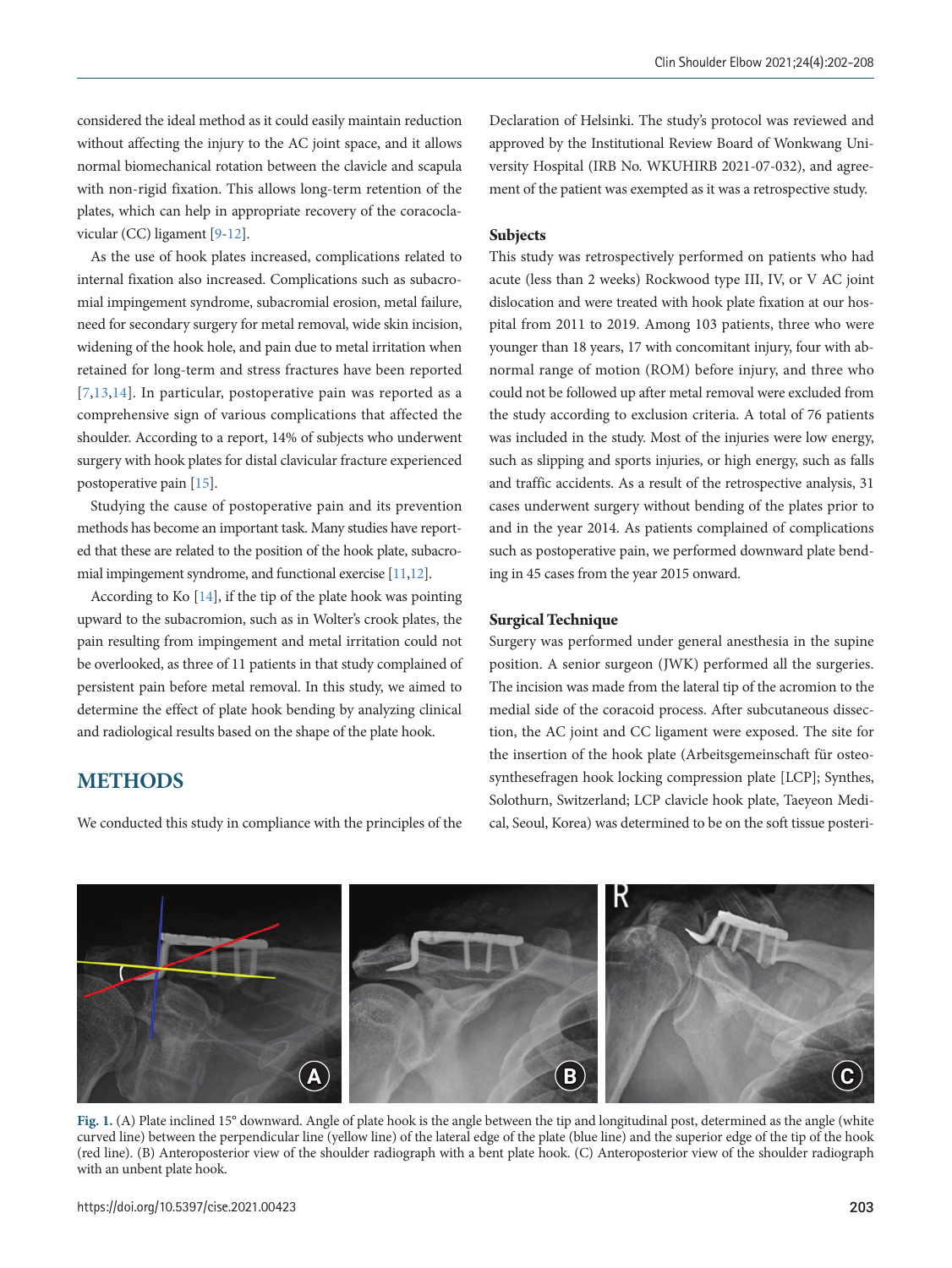considered the ideal method as it could easily maintain reduction without affecting the injury to the AC joint space, and it allows normal biomechanical rotation between the clavicle and scapula with non-rigid fixation. This allows long-term retention of the plates, which can help in appropriate recovery of the coracoclavicular (CC) ligament [\[9](#page-5-6)[-12](#page-5-7)].

As the use of hook plates increased, complications related to internal fixation also increased. Complications such as subacromial impingement syndrome, subacromial erosion, metal failure, need for secondary surgery for metal removal, wide skin incision, widening of the hook hole, and pain due to metal irritation when retained for long-term and stress fractures have been reported [\[7](#page-5-8)[,13](#page-5-9)[,14\]](#page-5-10). In particular, postoperative pain was reported as a comprehensive sign of various complications that affected the shoulder. According to a report, 14% of subjects who underwent surgery with hook plates for distal clavicular fracture experienced postoperative pain [\[15\]](#page-5-11).

Studying the cause of postoperative pain and its prevention methods has become an important task. Many studies have reported that these are related to the position of the hook plate, subacromial impingement syndrome, and functional exercise [\[11](#page-5-12)[,12](#page-5-7)].

According to Ko [\[14](#page-5-10)], if the tip of the plate hook was pointing upward to the subacromion, such as in Wolter's crook plates, the pain resulting from impingement and metal irritation could not be overlooked, as three of 11 patients in that study complained of persistent pain before metal removal. In this study, we aimed to determine the effect of plate hook bending by analyzing clinical and radiological results based on the shape of the plate hook.

# **METHODS**

We conducted this study in compliance with the principles of the

Declaration of Helsinki. The study's protocol was reviewed and approved by the Institutional Review Board of Wonkwang University Hospital (IRB No. WKUHIRB 2021-07-032), and agreement of the patient was exempted as it was a retrospective study.

#### **Subjects**

This study was retrospectively performed on patients who had acute (less than 2 weeks) Rockwood type III, IV, or V AC joint dislocation and were treated with hook plate fixation at our hospital from 2011 to 2019. Among 103 patients, three who were younger than 18 years, 17 with concomitant injury, four with abnormal range of motion (ROM) before injury, and three who could not be followed up after metal removal were excluded from the study according to exclusion criteria. A total of 76 patients was included in the study. Most of the injuries were low energy, such as slipping and sports injuries, or high energy, such as falls and traffic accidents. As a result of the retrospective analysis, 31 cases underwent surgery without bending of the plates prior to and in the year 2014. As patients complained of complications such as postoperative pain, we performed downward plate bending in 45 cases from the year 2015 onward.

#### **Surgical Technique**

Surgery was performed under general anesthesia in the supine position. A senior surgeon (JWK) performed all the surgeries. The incision was made from the lateral tip of the acromion to the medial side of the coracoid process. After subcutaneous dissection, the AC joint and CC ligament were exposed. The site for the insertion of the hook plate (Arbeitsgemeinschaft für osteosynthesefragen hook locking compression plate [LCP]; Synthes, Solothurn, Switzerland; LCP clavicle hook plate, Taeyeon Medical, Seoul, Korea) was determined to be on the soft tissue posteri-

<span id="page-1-0"></span>

**Fig. 1.** (A) Plate inclined 15° downward. Angle of plate hook is the angle between the tip and longitudinal post, determined as the angle (white curved line) between the perpendicular line (yellow line) of the lateral edge of the plate (blue line) and the superior edge of the tip of the hook (red line). (B) Anteroposterior view of the shoulder radiograph with a bent plate hook. (C) Anteroposterior view of the shoulder radiograph with an unbent plate hook.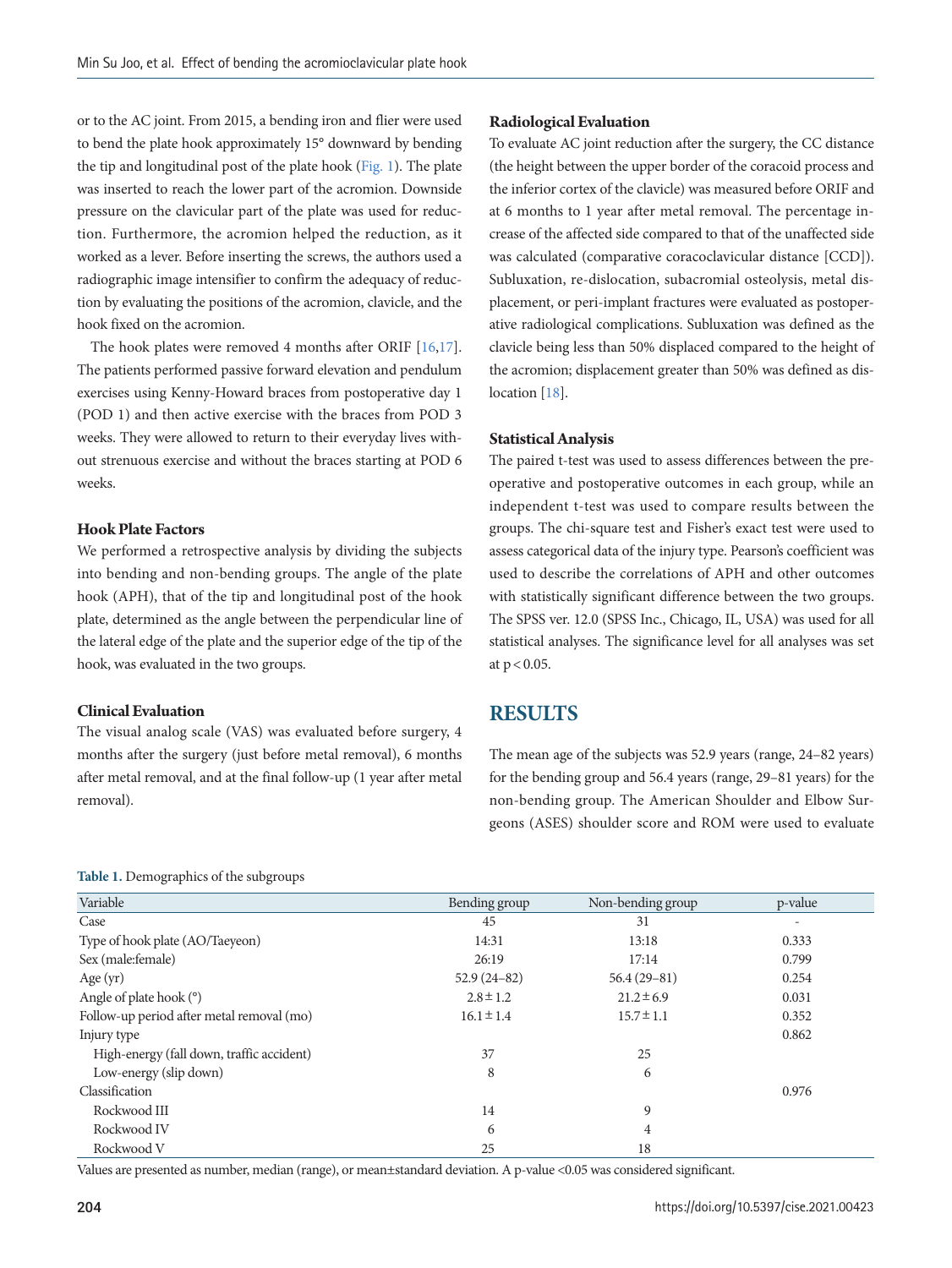or to the AC joint. From 2015, a bending iron and flier were used to bend the plate hook approximately 15° downward by bending the tip and longitudinal post of the plate hook [\(Fig. 1\)](#page-1-0). The plate was inserted to reach the lower part of the acromion. Downside pressure on the clavicular part of the plate was used for reduction. Furthermore, the acromion helped the reduction, as it worked as a lever. Before inserting the screws, the authors used a radiographic image intensifier to confirm the adequacy of reduction by evaluating the positions of the acromion, clavicle, and the hook fixed on the acromion.

The hook plates were removed 4 months after ORIF [\[16](#page-5-9)[,17\]](#page-6-0). The patients performed passive forward elevation and pendulum exercises using Kenny-Howard braces from postoperative day 1 (POD 1) and then active exercise with the braces from POD 3 weeks. They were allowed to return to their everyday lives without strenuous exercise and without the braces starting at POD 6 weeks.

## **Hook Plate Factors**

We performed a retrospective analysis by dividing the subjects into bending and non-bending groups. The angle of the plate hook (APH), that of the tip and longitudinal post of the hook plate, determined as the angle between the perpendicular line of the lateral edge of the plate and the superior edge of the tip of the hook, was evaluated in the two groups.

## **Clinical Evaluation**

The visual analog scale (VAS) was evaluated before surgery, 4 months after the surgery (just before metal removal), 6 months after metal removal, and at the final follow-up (1 year after metal removal).

#### <span id="page-2-0"></span>**Table 1.** Demographics of the subgroups

## **Radiological Evaluation**

To evaluate AC joint reduction after the surgery, the CC distance (the height between the upper border of the coracoid process and the inferior cortex of the clavicle) was measured before ORIF and at 6 months to 1 year after metal removal. The percentage increase of the affected side compared to that of the unaffected side was calculated (comparative coracoclavicular distance [CCD]). Subluxation, re-dislocation, subacromial osteolysis, metal displacement, or peri-implant fractures were evaluated as postoperative radiological complications. Subluxation was defined as the clavicle being less than 50% displaced compared to the height of the acromion; displacement greater than 50% was defined as dis-location [\[18](#page-6-1)].

#### **Statistical Analysis**

The paired t-test was used to assess differences between the preoperative and postoperative outcomes in each group, while an independent t-test was used to compare results between the groups. The chi-square test and Fisher's exact test were used to assess categorical data of the injury type. Pearson's coefficient was used to describe the correlations of APH and other outcomes with statistically significant difference between the two groups. The SPSS ver. 12.0 (SPSS Inc., Chicago, IL, USA) was used for all statistical analyses. The significance level for all analyses was set at  $p < 0.05$ .

## **RESULTS**

The mean age of the subjects was 52.9 years (range, 24–82 years) for the bending group and 56.4 years (range, 29–81 years) for the non-bending group. The American Shoulder and Elbow Surgeons (ASES) shoulder score and ROM were used to evaluate

| Variable                                  | Bending group  | Non-bending group | p-value |
|-------------------------------------------|----------------|-------------------|---------|
| Case                                      | 45             | 31                |         |
|                                           |                |                   |         |
| Type of hook plate (AO/Taeyeon)           | 14:31          | 13:18             | 0.333   |
| Sex (male: female)                        | 26:19          | 17:14             | 0.799   |
| Age $(yr)$                                | $52.9(24-82)$  | $56.4(29-81)$     | 0.254   |
| Angle of plate hook (°)                   | $2.8 \pm 1.2$  | $21.2 \pm 6.9$    | 0.031   |
| Follow-up period after metal removal (mo) | $16.1 \pm 1.4$ | $15.7 \pm 1.1$    | 0.352   |
| Injury type                               |                |                   | 0.862   |
| High-energy (fall down, traffic accident) | 37             | 25                |         |
| Low-energy (slip down)                    | 8              | 6                 |         |
| Classification                            |                |                   | 0.976   |
| Rockwood III                              | 14             | 9                 |         |
| Rockwood IV                               | 6              | 4                 |         |
| Rockwood V                                | 25             | 18                |         |

Values are presented as number, median (range), or mean±standard deviation. A p-value <0.05 was considered significant.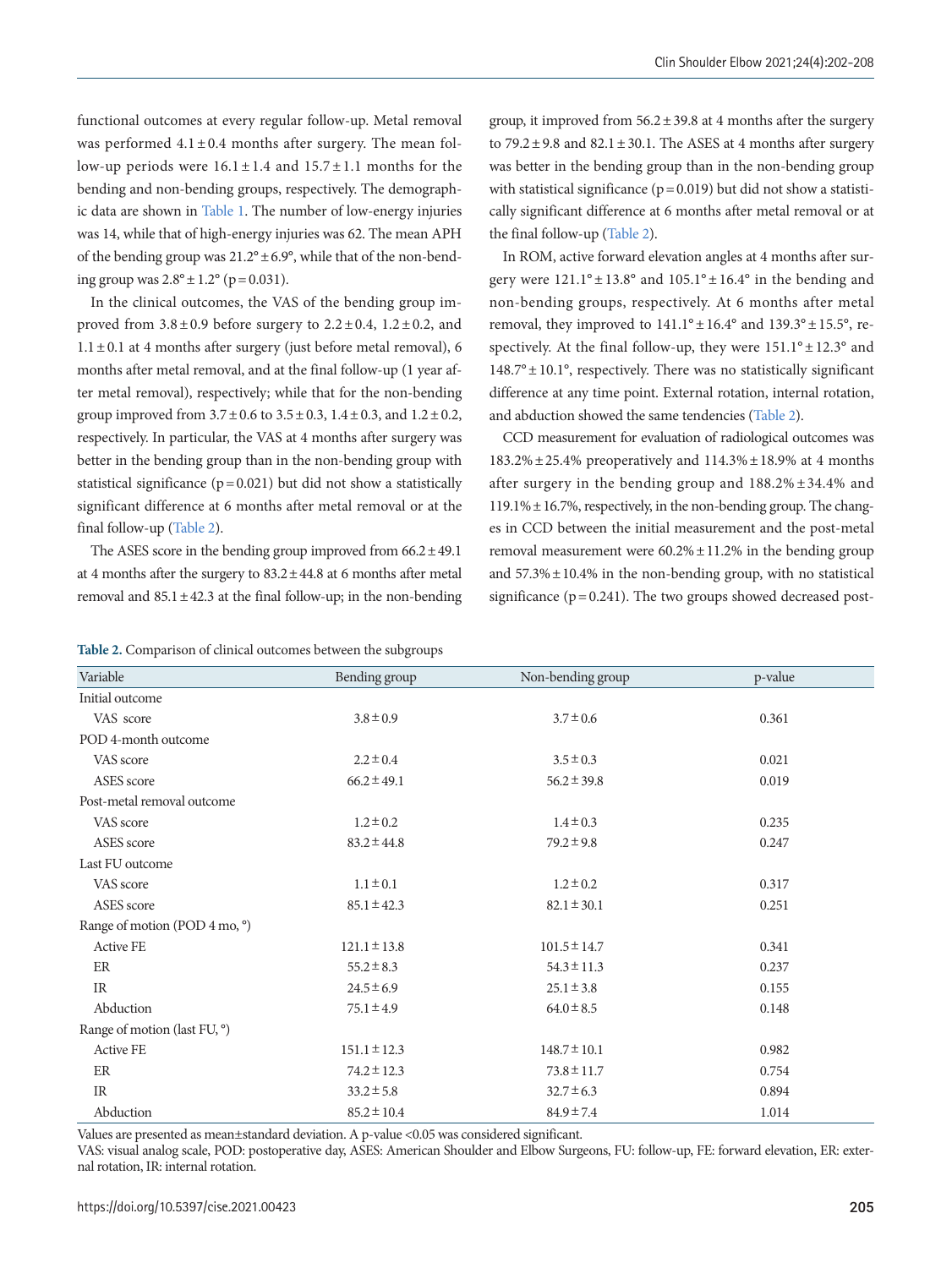functional outcomes at every regular follow-up. Metal removal was performed  $4.1 \pm 0.4$  months after surgery. The mean follow-up periods were  $16.1 \pm 1.4$  and  $15.7 \pm 1.1$  months for the bending and non-bending groups, respectively. The demographic data are shown in [Table 1](#page-2-0). The number of low-energy injuries was 14, while that of high-energy injuries was 62. The mean APH of the bending group was  $21.2^{\circ} \pm 6.9^{\circ}$ , while that of the non-bending group was  $2.8^{\circ} \pm 1.2^{\circ}$  (p = 0.031).

In the clinical outcomes, the VAS of the bending group improved from  $3.8 \pm 0.9$  before surgery to  $2.2 \pm 0.4$ ,  $1.2 \pm 0.2$ , and  $1.1 \pm 0.1$  at 4 months after surgery (just before metal removal), 6 months after metal removal, and at the final follow-up (1 year after metal removal), respectively; while that for the non-bending group improved from  $3.7 \pm 0.6$  to  $3.5 \pm 0.3$ ,  $1.4 \pm 0.3$ , and  $1.2 \pm 0.2$ , respectively. In particular, the VAS at 4 months after surgery was better in the bending group than in the non-bending group with statistical significance ( $p = 0.021$ ) but did not show a statistically significant difference at 6 months after metal removal or at the final follow-up [\(Table 2\)](#page-3-0).

The ASES score in the bending group improved from  $66.2 \pm 49.1$ at 4 months after the surgery to  $83.2 \pm 44.8$  at 6 months after metal removal and  $85.1 \pm 42.3$  at the final follow-up; in the non-bending group, it improved from  $56.2 \pm 39.8$  at 4 months after the surgery to  $79.2 \pm 9.8$  and  $82.1 \pm 30.1$ . The ASES at 4 months after surgery was better in the bending group than in the non-bending group with statistical significance ( $p = 0.019$ ) but did not show a statistically significant difference at 6 months after metal removal or at the final follow-up [\(Table 2](#page-3-0)).

In ROM, active forward elevation angles at 4 months after surgery were  $121.1^{\circ} \pm 13.8^{\circ}$  and  $105.1^{\circ} \pm 16.4^{\circ}$  in the bending and non-bending groups, respectively. At 6 months after metal removal, they improved to  $141.1^{\circ} \pm 16.4^{\circ}$  and  $139.3^{\circ} \pm 15.5^{\circ}$ , respectively. At the final follow-up, they were  $151.1^{\circ} \pm 12.3^{\circ}$  and  $148.7^\circ \pm 10.1^\circ$ , respectively. There was no statistically significant difference at any time point. External rotation, internal rotation, and abduction showed the same tendencies [\(Table 2\)](#page-3-0).

CCD measurement for evaluation of radiological outcomes was 183.2% ±25.4% preoperatively and 114.3% ±18.9% at 4 months after surgery in the bending group and 188.2% ±34.4% and  $119.1\% \pm 16.7\%$ , respectively, in the non-bending group. The changes in CCD between the initial measurement and the post-metal removal measurement were  $60.2\% \pm 11.2\%$  in the bending group and  $57.3\% \pm 10.4\%$  in the non-bending group, with no statistical significance  $(p=0.241)$ . The two groups showed decreased post-

| Variable                      | Bending group    | Non-bending group | p-value |
|-------------------------------|------------------|-------------------|---------|
| Initial outcome               |                  |                   |         |
| VAS score                     | $3.8 \pm 0.9$    | $3.7 \pm 0.6$     | 0.361   |
| POD 4-month outcome           |                  |                   |         |
| VAS score                     | $2.2 \pm 0.4$    | $3.5 \pm 0.3$     | 0.021   |
| ASES score                    | $66.2 \pm 49.1$  | $56.2 \pm 39.8$   | 0.019   |
| Post-metal removal outcome    |                  |                   |         |
| VAS score                     | $1.2 \pm 0.2$    | $1.4 \pm 0.3$     | 0.235   |
| ASES score                    | $83.2 \pm 44.8$  | $79.2 \pm 9.8$    | 0.247   |
| Last FU outcome               |                  |                   |         |
| VAS score                     | $1.1 \pm 0.1$    | $1.2 \pm 0.2$     | 0.317   |
| ASES score                    | $85.1 \pm 42.3$  | $82.1 \pm 30.1$   | 0.251   |
| Range of motion (POD 4 mo, °) |                  |                   |         |
| <b>Active FE</b>              | $121.1 \pm 13.8$ | $101.5 \pm 14.7$  | 0.341   |
| ER                            | $55.2 \pm 8.3$   | $54.3 \pm 11.3$   | 0.237   |
| IR                            | $24.5 \pm 6.9$   | $25.1 \pm 3.8$    | 0.155   |
| Abduction                     | $75.1 \pm 4.9$   | $64.0 \pm 8.5$    | 0.148   |
| Range of motion (last FU, °)  |                  |                   |         |
| Active FE                     | $151.1 \pm 12.3$ | $148.7 \pm 10.1$  | 0.982   |
| ER                            | $74.2 \pm 12.3$  | $73.8 \pm 11.7$   | 0.754   |
| IR                            | $33.2 \pm 5.8$   | $32.7 \pm 6.3$    | 0.894   |
| Abduction                     | $85.2 \pm 10.4$  | $84.9 \pm 7.4$    | 1.014   |

<span id="page-3-0"></span>**Table 2.** Comparison of clinical outcomes between the subgroups

Values are presented as mean±standard deviation. A p-value <0.05 was considered significant.

VAS: visual analog scale, POD: postoperative day, ASES: American Shoulder and Elbow Surgeons, FU: follow-up, FE: forward elevation, ER: external rotation, IR: internal rotation.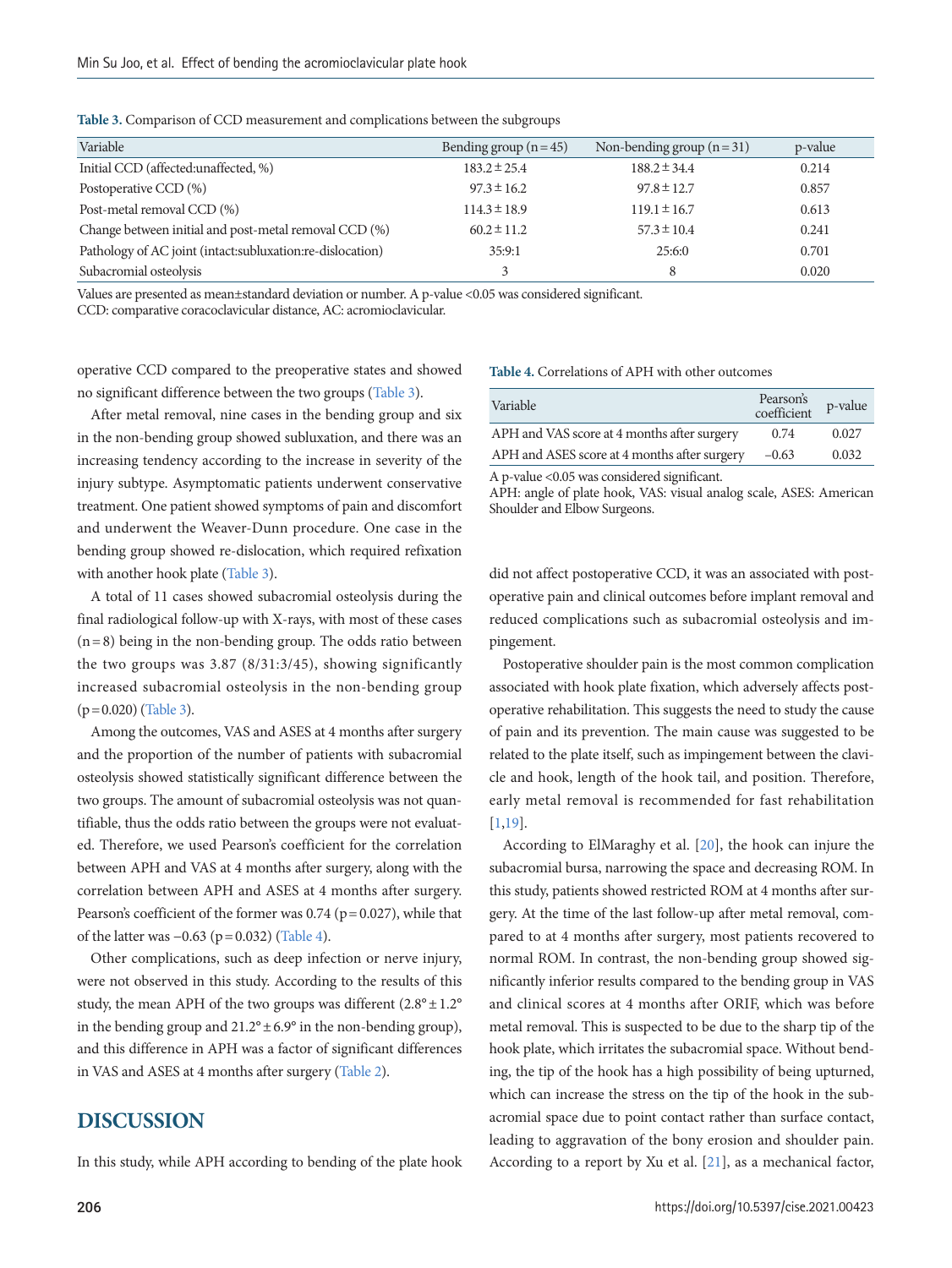| Variable                                                  | Bending group $(n=45)$ | Non-bending group $(n=31)$ | p-value |
|-----------------------------------------------------------|------------------------|----------------------------|---------|
| Initial CCD (affected:unaffected, %)                      | $183.2 \pm 25.4$       | $188.2 \pm 34.4$           | 0.214   |
| Postoperative CCD (%)                                     | $97.3 \pm 16.2$        | $97.8 \pm 12.7$            | 0.857   |
| Post-metal removal CCD (%)                                | $114.3 \pm 18.9$       | $119.1 \pm 16.7$           | 0.613   |
| Change between initial and post-metal removal CCD (%)     | $60.2 \pm 11.2$        | $57.3 \pm 10.4$            | 0.241   |
| Pathology of AC joint (intact:subluxation:re-dislocation) | 35:9:1                 | 25:6:0                     | 0.701   |
| Subacromial osteolysis                                    |                        | 8                          | 0.020   |

<span id="page-4-0"></span>**Table 3.** Comparison of CCD measurement and complications between the subgroups

Values are presented as mean±standard deviation or number. A p-value <0.05 was considered significant.

CCD: comparative coracoclavicular distance, AC: acromioclavicular.

operative CCD compared to the preoperative states and showed no significant difference between the two groups [\(Table 3\)](#page-4-0).

After metal removal, nine cases in the bending group and six in the non-bending group showed subluxation, and there was an increasing tendency according to the increase in severity of the injury subtype. Asymptomatic patients underwent conservative treatment. One patient showed symptoms of pain and discomfort and underwent the Weaver-Dunn procedure. One case in the bending group showed re-dislocation, which required refixation with another hook plate [\(T](#page-4-0)able [3](#page-4-0)).

A total of 11 cases showed subacromial osteolysis during the final radiological follow-up with X-rays, with most of these cases  $(n=8)$  being in the non-bending group. The odds ratio between the two groups was 3.87 (8/31:3/45), showing significantly increased subacromial osteolysis in the non-bending group  $(p=0.020)$  [\(Table 3\)](#page-4-0).

Among the outcomes, VAS and ASES at 4 months after surgery and the proportion of the number of patients with subacromial osteolysis showed statistically significant difference between the two groups. The amount of subacromial osteolysis was not quantifiable, thus the odds ratio between the groups were not evaluated. Therefore, we used Pearson's coefficient for the correlation between APH and VAS at 4 months after surgery, along with the correlation between APH and ASES at 4 months after surgery. Pearson's coefficient of the former was  $0.74$  ( $p = 0.027$ ), while that of the latter was −0.63 (p= 0.032) [\(Table 4\)](#page-4-1).

Other complications, such as deep infection or nerve injury, were not observed in this study. According to the results of this study, the mean APH of the two groups was different  $(2.8^{\circ} \pm 1.2^{\circ}$ in the bending group and  $21.2^{\circ} \pm 6.9^{\circ}$  in the non-bending group), and this difference in APH was a factor of significant differences in VAS and ASES at 4 months after surgery [\(Table 2\)](#page-3-0).

## **DISCUSSION**

In this study, while APH according to bending of the plate hook

#### <span id="page-4-1"></span>**Table 4.** Correlations of APH with other outcomes

| Variable                                     | Pearson's<br>coefficient | p-value |
|----------------------------------------------|--------------------------|---------|
| APH and VAS score at 4 months after surgery  | 0.74                     | 0.027   |
| APH and ASES score at 4 months after surgery | $-0.63$                  | 0.032   |

A p-value <0.05 was considered significant.

APH: angle of plate hook, VAS: visual analog scale, ASES: American Shoulder and Elbow Surgeons.

did not affect postoperative CCD, it was an associated with postoperative pain and clinical outcomes before implant removal and reduced complications such as subacromial osteolysis and impingement.

Postoperative shoulder pain is the most common complication associated with hook plate fixation, which adversely affects postoperative rehabilitation. This suggests the need to study the cause of pain and its prevention. The main cause was suggested to be related to the plate itself, such as impingement between the clavicle and hook, length of the hook tail, and position. Therefore, early metal removal is recommended for fast rehabilitation [1,[19\]](#page-6-2).

According to ElMaraghy et al. [\[20](#page-6-3)], the hook can injure the subacromial bursa, narrowing the space and decreasing ROM. In this study, patients showed restricted ROM at 4 months after surgery. At the time of the last follow-up after metal removal, compared to at 4 months after surgery, most patients recovered to normal ROM. In contrast, the non-bending group showed significantly inferior results compared to the bending group in VAS and clinical scores at 4 months after ORIF, which was before metal removal. This is suspected to be due to the sharp tip of the hook plate, which irritates the subacromial space. Without bending, the tip of the hook has a high possibility of being upturned, which can increase the stress on the tip of the hook in the subacromial space due to point contact rather than surface contact, leading to aggravation of the bony erosion and shoulder pain. According to a report by Xu et al. [\[21\]](#page-6-1), as a mechanical factor,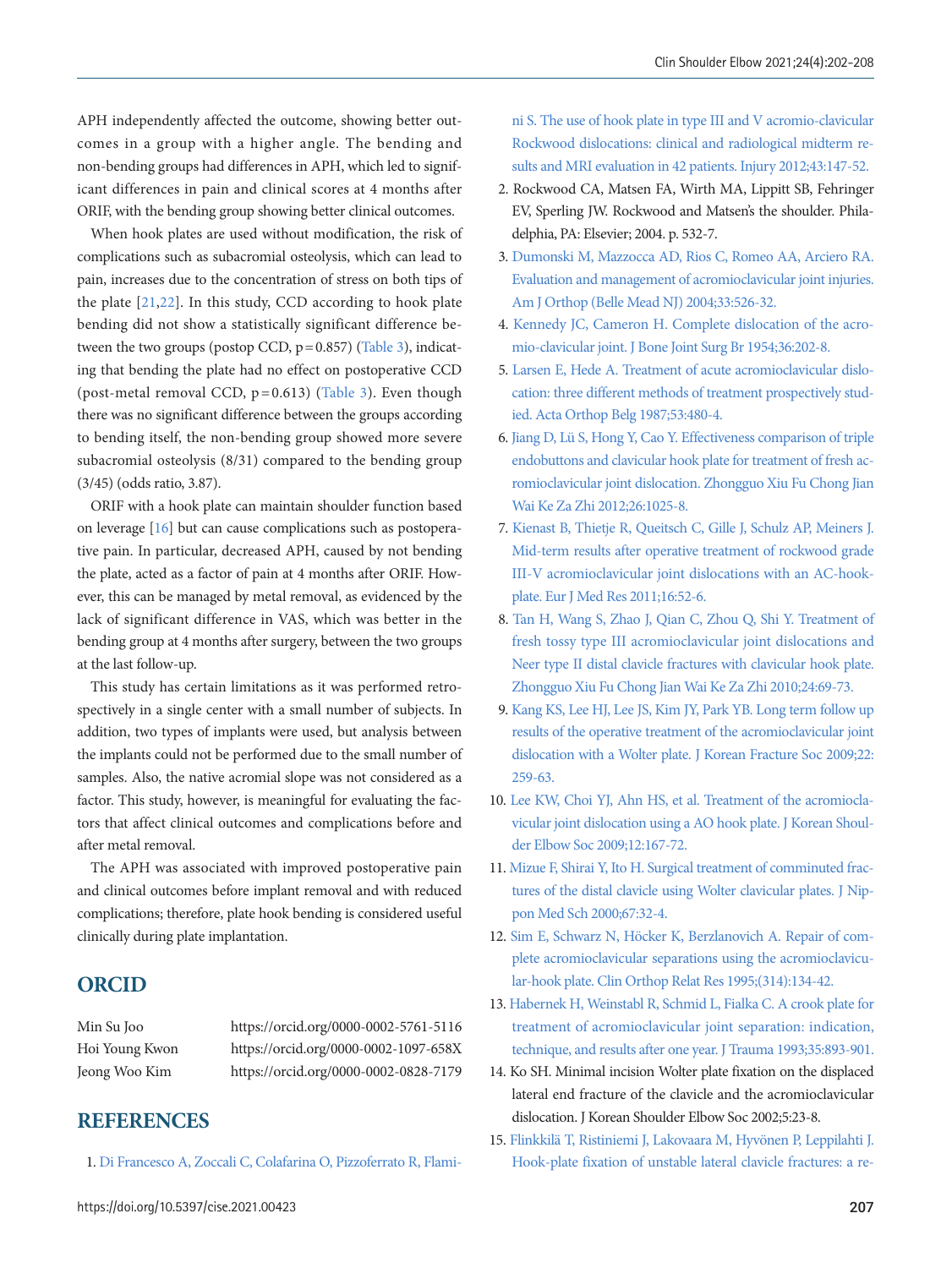APH independently affected the outcome, showing better outcomes in a group with a higher angle. The bending and non-bending groups had differences in APH, which led to significant differences in pain and clinical scores at 4 months after ORIF, with the bending group showing better clinical outcomes.

When hook plates are used without modification, the risk of complications such as subacromial osteolysis, which can lead to pain, increases due to the concentration of stress on both tips of the plate [\[21](#page-6-1)[,22](#page-6-4)]. In this study, CCD according to hook plate bending did not show a statistically significant difference between the two groups (postop CCD,  $p = 0.857$ ) (Table 3), indicating that bending the plate had no effect on postoperative CCD (post-metal removal CCD,  $p = 0.613$ ) (Table 3). Even though there was no significant difference between the groups according to bending itself, the non-bending group showed more severe subacromial osteolysis (8/31) compared to the bending group (3/45) (odds ratio, 3.87).

ORIF with a hook plate can maintain shoulder function based on leverage [16] but can cause complications such as postoperative pain. In particular, decreased APH, caused by not bending the plate, acted as a factor of pain at 4 months after ORIF. However, this can be managed by metal removal, as evidenced by the lack of significant difference in VAS, which was better in the bending group at 4 months after surgery, between the two groups at the last follow-up.

This study has certain limitations as it was performed retrospectively in a single center with a small number of subjects. In addition, two types of implants were used, but analysis between the implants could not be performed due to the small number of samples. Also, the native acromial slope was not considered as a factor. This study, however, is meaningful for evaluating the factors that affect clinical outcomes and complications before and after metal removal.

The APH was associated with improved postoperative pain and clinical outcomes before implant removal and with reduced complications; therefore, plate hook bending is considered useful clinically during plate implantation.

## **ORCID**

<span id="page-5-0"></span>Min Su Joo https://orcid.org/0000-0002-5761-5116 Hoi Young Kwon https://orcid.org/0000-0002-1097-658X Jeong Woo Kim https://orcid.org/0000-0002-0828-7179

## **REFERENCES**

1. [Di Francesco A, Zoccali C, Colafarina O, Pizzoferrato R, Flami-](https://doi.org/10.1016/j.injury.2011.04.002)

[ni S. The use of hook plate in type III and V acromio-clavicular](https://doi.org/10.1016/j.injury.2011.04.002)  [Rockwood dislocations: clinical and radiological midterm re](https://doi.org/10.1016/j.injury.2011.04.002)[sults and MRI evaluation in 42 patients. Injury](https://doi.org/10.1016/j.injury.2011.04.002) 2012;43:147-52.

- <span id="page-5-1"></span>2. Rockwood CA, Matsen FA, Wirth MA, Lippitt SB, Fehringer EV, Sperling JW. Rockwood and Matsen's the shoulder. Philadelphia, PA: Elsevier; 2004. p. 532-7.
- <span id="page-5-2"></span>3. [Dumonski M, Mazzocca AD, Rios C, Romeo AA, Arciero RA.](https://www.ncbi.nlm.nih.gov/pubmed/15540856)  [Evaluation and management of acromioclavicular joint injuries.](https://www.ncbi.nlm.nih.gov/pubmed/15540856)  [Am J Orthop \(Belle Mead NJ\) 2004;33:526-32.](https://www.ncbi.nlm.nih.gov/pubmed/15540856)
- 4. [Kennedy JC, Cameron H. Complete dislocation of the acro](https://doi.org/10.1302/0301-620x.36b2.202)[mio-clavicular joint. J Bone Joint Surg Br 1954;36:202-8.](https://doi.org/10.1302/0301-620x.36b2.202)
- <span id="page-5-3"></span>[5. Larsen E, Hede A. Treatment of acute acromioclavicular dislo](http://www.ncbi.nlm.nih.gov/pubmed/3434248)[cation: three different methods of treatment prospectively stud](http://www.ncbi.nlm.nih.gov/pubmed/3434248)[ied. Acta Orthop Belg 1987;53:480-4](http://www.ncbi.nlm.nih.gov/pubmed/3434248).
- <span id="page-5-4"></span>[6. Jiang D, Lü S, Hong Y, Cao Y. Effectiveness comparison of triple](http://www.ncbi.nlm.nih.gov/pubmed/23057339)  [endobuttons and clavicular hook plate for treatment of fresh ac](http://www.ncbi.nlm.nih.gov/pubmed/23057339)[romioclavicular joint dislocation. Zhongguo Xiu Fu Chong Jian](http://www.ncbi.nlm.nih.gov/pubmed/23057339)  [Wai Ke Za Zhi 2012;26:1025-8.](http://www.ncbi.nlm.nih.gov/pubmed/23057339)
- <span id="page-5-8"></span>[7. Kienast B, Thietje R, Queitsch C, Gille J, Schulz AP, Meiners J.](https://doi.org/10.1186/2047-783x-16-2-52)  [Mid-term results after operative treatment of rockwood grade](https://doi.org/10.1186/2047-783x-16-2-52)  [III-V acromioclavicular joint dislocations with an AC-hook](https://doi.org/10.1186/2047-783x-16-2-52)[plate. Eur J Med Res 2011;16:52-6.](https://doi.org/10.1186/2047-783x-16-2-52)
- <span id="page-5-5"></span>[8. Tan H, Wang S, Zhao J, Qian C, Zhou Q, Shi Y. Treatment of](http://www.ncbi.nlm.nih.gov/pubmed/20135976)  [fresh tossy type III acromioclavicular joint dislocations and](http://www.ncbi.nlm.nih.gov/pubmed/20135976)  [Neer type II distal clavicle fractures with clavicular hook plate.](http://www.ncbi.nlm.nih.gov/pubmed/20135976)  [Zhongguo Xiu Fu Chong Jian Wai Ke Za Zhi](http://www.ncbi.nlm.nih.gov/pubmed/20135976) 2010;24:69-73.
- <span id="page-5-7"></span><span id="page-5-6"></span>[9. Kang KS, Lee HJ, Lee JS, Kim JY, Park YB. Long term follow up](https://doi.org/10.12671/jkfs.2009.22.4.259)  [results of the operative treatment of the acromioclavicular joint](https://doi.org/10.12671/jkfs.2009.22.4.259)  [dislocation with a Wolter plate. J Korean Fracture Soc 2009;22:](https://doi.org/10.12671/jkfs.2009.22.4.259) [259-63](https://doi.org/10.12671/jkfs.2009.22.4.259).
- 10. [Lee KW, Choi YJ, Ahn HS, et al. Treatment of the acromiocla](https://doi.org/10.5397/cise.2009.12.2.167)[vicular joint dislocation using a AO hook plate. J Korean Shoul](https://doi.org/10.5397/cise.2009.12.2.167)[der Elbow Soc 2009;12:167-72.](https://doi.org/10.5397/cise.2009.12.2.167)
- <span id="page-5-12"></span>1[1. Mizue F, Shirai Y, Ito H. Surgical treatment of comminuted frac](https://doi.org/10.1272/jnms.67.32)[tures of the distal clavicle using Wolter clavicular plates. J Nip](https://doi.org/10.1272/jnms.67.32)[pon Med Sch 2000;67:32-4.](https://doi.org/10.1272/jnms.67.32)
- 12. [Sim E, Schwarz N, Höcker K, Berzlanovich A. Repair of com](https://doi.org/10.1097/00003086-199505000-00017)[plete acromioclavicular separations using the acromioclavicu](https://doi.org/10.1097/00003086-199505000-00017)[lar-hook plate. Clin Orthop Relat Res 1995;\(314\):134-42.](https://doi.org/10.1097/00003086-199505000-00017)
- <span id="page-5-9"></span>13. Habernek H, [Weinstabl R, Schmid L, Fialka C. A crook plate for](https://www.ncbi.nlm.nih.gov/pubmed/8263989)  [treatment of acromioclavicular joint separation: indication,](https://www.ncbi.nlm.nih.gov/pubmed/8263989)  [technique, and results after one year. J Trauma 1993;35:893-901.](https://www.ncbi.nlm.nih.gov/pubmed/8263989)
- <span id="page-5-10"></span>14. Ko SH. Minimal incision Wolter plate fixation on the displaced lateral end fracture of the clavicle and the acromioclavicular dislocation. J Korean Shoulder Elbow Soc 2002;5:23-8.
- <span id="page-5-11"></span>1[5. Flinkkilä T, Ristiniemi J, Lakovaara M, Hyvönen P, Leppilahti J.](https://doi.org/10.1080/17453670610012737)  [Hook-plate fixation of unstable lateral clavicle fractures: a re-](https://doi.org/10.1080/17453670610012737)